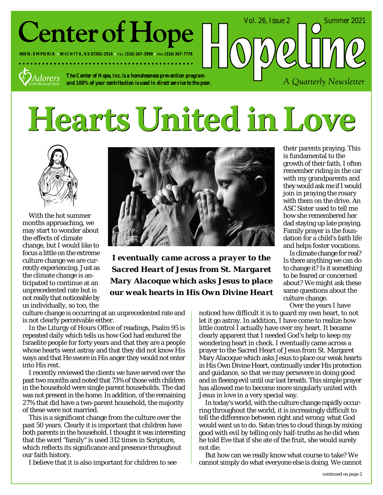# **Center of Hope**

**400 N. EMPORIA WICHITA, KS 67202-2514 TEL (316) 267-3999 FAX (316) 267-7778**



*The Center of Hope, Inc. is a homelessness prevention program and 100% of your contribution is used in direct service to the poor.*

# Hearts United in Love



With the hot summer months approaching, we may start to wonder about the effects of climate change, but I would like to focus a little on the extreme culture change we are currently experiencing. Just as the climate change is anticipated to continue at an unprecedented rate but is not really that noticeable by us individually, so too, the



*I eventually came across a prayer to the Sacred Heart of Jesus from St. Margaret Mary Alacoque which asks Jesus to place our weak hearts in His Own Divine Heart*

culture change is occurring at an unprecedented rate and is not clearly perceivable either.

In the Liturgy of Hours Office of readings, Psalm 95 is repeated daily which tells us how God had endured the Israelite people for forty years and that they are a people whose hearts went astray and that they did not know His ways and that He swore in His anger they would not enter into His rest.

I recently reviewed the clients we have served over the past two months and noted that 73% of those with children in the household were single parent households. The dad was not present in the home. In addition, of the remaining 27% that did have a two-parent household, the majority of these were not married.

This is a significant change from the culture over the past 50 years. Clearly it is important that children have both parents in the household. I thought it was interesting that the word "family" is used 312 times in Scripture, which reflects its significance and presence throughout our faith history.

I believe that it is also important for children to see

their parents praying. This is fundamental to the growth of their faith. I often remember riding in the car with my grandparents and they would ask me if I would join in praying the rosary with them on the drive. An ASC Sister used to tell me how she remembered her dad staying up late praying. Family prayer is the foundation for a child's faith life and helps foster vocations.

A Quarterly Newsletter

Vol. 26, Issue 2 Summer 2021

Is climate change for real? Is there anything we can do to change it? Is it something to be feared or concerned about? We might ask these same questions about the culture change.

Over the years I have

noticed how difficult it is to guard my own heart, to not let it go astray. In addition, I have come to realize how little control I actually have over my heart. It became clearly apparent that I needed God's help to keep my wondering heart in check. I eventually came across a prayer to the Sacred Heart of Jesus from St. Margaret Mary Alacoque which asks Jesus to place our weak hearts in His Own Divine Heart, continually under His protection and guidance, so that we may persevere in doing good and in fleeing evil until our last breath. This simple prayer has allowed me to become more singularly united with Jesus in love in a very special way.

In today's world, with the culture change rapidly occurring throughout the world, it is increasingly difficult to tell the difference between right and wrong; what God would want us to do. Satan tries to cloud things by mixing good with evil by telling only half-truths as he did when he told Eve that if she ate of the fruit, she would surely not die.

But how can we really know what course to take? We cannot simply do what everyone else is doing. We cannot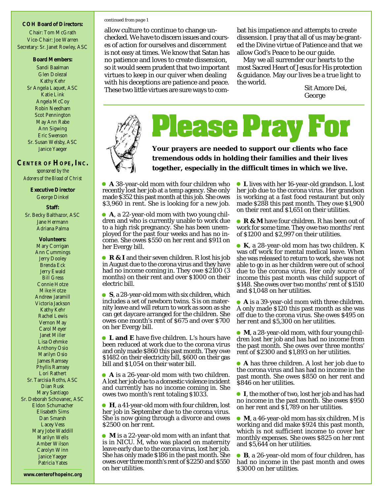**COH Board of Directors:** Chair: Tom McGrath Vice-Chair: Joe Warren Secretary: Sr. Janet Rowley, ASC

#### **Board Members:**

Sandi Baalman Glen Dolezal Kathy Kehr Sr Angela Laquet, ASC Katie Link Angela McCoy Robin Needham Scot Pennington May Ann Rabe Ann Sigwing Eric Swenson Sr. Susan Welsby, ASC Janice Yaeger

#### **CENTER OF HOPE, INC.**

*sponsored by the Adorers of the Blood of Christ*

> **Executive Director** George Dinkel

> > **Staff:**

Sr. Becky Balthazor, ASC Jane Hermann Adriana Palma

**Volunteers:** Mary Corrigan Ann Cummings Jerry Dooley Brenda Eck Jerry Ewald Bill Gress Connie Hotze Mike Hotze Andrew Jaramill Victoria Jackson Kathy Kehr Rachel Lewis Vernon May Carol Meyer Janet Miller Lisa Oehmke Anthony Osio Marilyn Osio James Ramsey Phyllis Ramsey Lori Rathert Sr. Tarcisia Roths, ASC Dian Rusk Mary Santiago Sr. Deborah Schovanec, ASC Eldon Schumacher Elisabeth Sims Dan Smarsh Lacey Vess Mary Jobe Waddill Marilyn Wells Amber Wilson Carolyn Winn Janice Yaeger Patricia Yates

#### *continued from page 1*

allow culture to continue to change unchecked. We have to discern issues and courses of action for ourselves and discernment is not easy at times. We know that Satan has no patience and loves to create dissension, so it would seem prudent that two important virtues to keep in our quiver when dealing with his deceptions are patience and peace. These two little virtues are sure ways to combat his impatience and attempts to create dissension. I pray that all of us may be granted the Divine virtue of Patience and that we allow God's Peace to be our guide.

May we all surrender our hearts to the most Sacred Heart of Jesus for His protection & guidance. May our lives be a true light to the world.

Sit Amore Dei, George



**Please Pray For** 

**Your prayers are needed to support our clients who face tremendous odds in holding their families and their lives together, especially in the difficult times in which we live.**

**A** 38-year-old mom with four children who recently lost her job at a temp agency. She only made \$352 this past month at this job. She owes \$3,960 in rent. She is looking for a new job.

**A**, a 22-year-old mom with two young children and who is currently unable to work due to a high risk pregnancy. She has been unemployed for the past four weeks and has no income. She owes \$550 on her rent and \$911 on her Evergy bill.

● R & I and their seven children. R lost his job in August due to the corona virus and they have had no income coming in. They owe \$2100 (3 months) on their rent and over \$1000 on their electric bill.

**S**, a 28-year-old mom with six children, which includes a set of newborn twins. S is on maternity leave and will return to work as soon as she can get daycare arranged for the children. She owes one month's rent of \$675 and over \$700 on her Evergy bill.

**L and E** have five children. L's hours have been reduced at work due to the corona virus and only made \$860 this past month. They owe \$1482 on their electricity bill, \$600 on their gas bill and \$1,054 on their water bill.

**A** is a 26-year-old mom with two children. A lost her job due to a domestic violence incident and currently has no income coming in. She owes two month's rent totaling \$1033.

**H**, a 41-year-old mom with four children, lost her job in September due to the corona virus. She is now going through a divorce and owes \$2500 on her rent.

**M** is a 22-year-old mom with an infant that is in NICU. M, who was placed on maternity leave early due to the corona virus, lost her job. She has only made \$186 in the past month. She owes over three month's rent of \$2250 and \$550 on her utilities.

**L** lives with her 16-year-old grandson. L lost her job due to the corona virus. Her grandson is working at a fast food restaurant but only made \$288 this past month. They owe \$1,900 on their rent and \$1,651 on their utilities.

**■ R & M** have four children. R has been out of work for some time. They owe two months' rent of \$1200 and \$2,997 on their utilities.

**K**, a 28-year-old mom has two children. K was off work for mental medical leave. When she was released to return to work, she was not able to go in as her children were out of school due to the corona virus. Her only source of income this past month was child support of \$148. She owes over two months' rent of \$1510 and \$1,048 on her utilities.

**A** is a 39-year-old mom with three children. A only made \$120 this past month as she was off due to the corona virus. She owes \$495 on her rent and \$5,300 on her utilities.

**M**, a 28-year-old mom, with four young children lost her job and has had no income from the past month. She owes over three months' rent of \$2300 and \$1,893 on her utilities.

**A** has three children. A lost her job due to the corona virus and has had no income in the past month. She owes \$850 on her rent and \$846 on her utilities.

**I**, the mother of two, lost her job and has had no income in the past month. She owes \$950 on her rent and \$1,789 on her utilities.

**M**, a 46-year-old mom has six children. M is working and did make \$924 this past month, which is not sufficient income to cover her monthly expenses. She owes \$825 on her rent and \$5,644 on her utilities.

**B**, a 26-year-old mom of four children, has had no income in the past month and owes \$3000 on her utilities.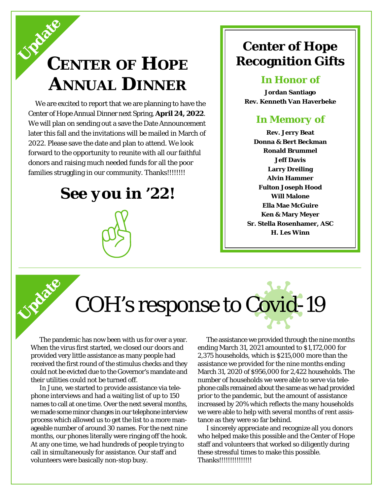## **CENTER OF HOPE ANNUAL DINNER Update**

We are excited to report that we are planning to have the Center of Hope Annual Dinner next Spring, **April 24, 2022**. We will plan on sending out a save the Date Announcement later this fall and the invitations will be mailed in March of 2022. Please save the date and plan to attend. We look forward to the opportunity to reunite with all our faithful donors and raising much needed funds for all the poor families struggling in our community. Thanks!!!!!!!!!

*See you in '22!*

### **Center of Hope Recognition Gifts**

#### *In Honor of*

**Jordan Santiago Rev. Kenneth Van Haverbeke**

### *In Memory of*

**Rev. Jerry Beat Donna & Bert Beckman Ronald Brummel Jeff Davis Larry Dreiling Alvin Hammer Fulton Joseph Hood Will Malone Ella Mae McGuire Ken & Mary Meyer Sr. Stella Rosenhamer, ASC H. Les Winn**

# COH's response to Covid-19

The pandemic has now been with us for over a year. When the virus first started, we closed our doors and provided very little assistance as many people had received the first round of the stimulus checks and they could not be evicted due to the Governor's mandate and their utilities could not be turned off.

**Update**

In June, we started to provide assistance via telephone interviews and had a waiting list of up to 150 names to call at one time. Over the next several months, we made some minor changes in our telephone interview process which allowed us to get the list to a more manageable number of around 30 names. For the next nine months, our phones literally were ringing off the hook. At any one time, we had hundreds of people trying to call in simultaneously for assistance. Our staff and volunteers were basically non-stop busy.

The assistance we provided through the nine months ending March 31, 2021 amounted to \$1,172,000 for 2,375 households, which is \$215,000 more than the assistance we provided for the nine months ending March 31, 2020 of \$956,000 for 2,422 households. The number of households we were able to serve via telephone calls remained about the same as we had provided prior to the pandemic, but the amount of assistance increased by 20% which reflects the many households we were able to help with several months of rent assistance as they were so far behind.

I sincerely appreciate and recognize all you donors who helped make this possible and the Center of Hope staff and volunteers that worked so diligently during these stressful times to make this possible. Thanks!!!!!!!!!!!!!!!